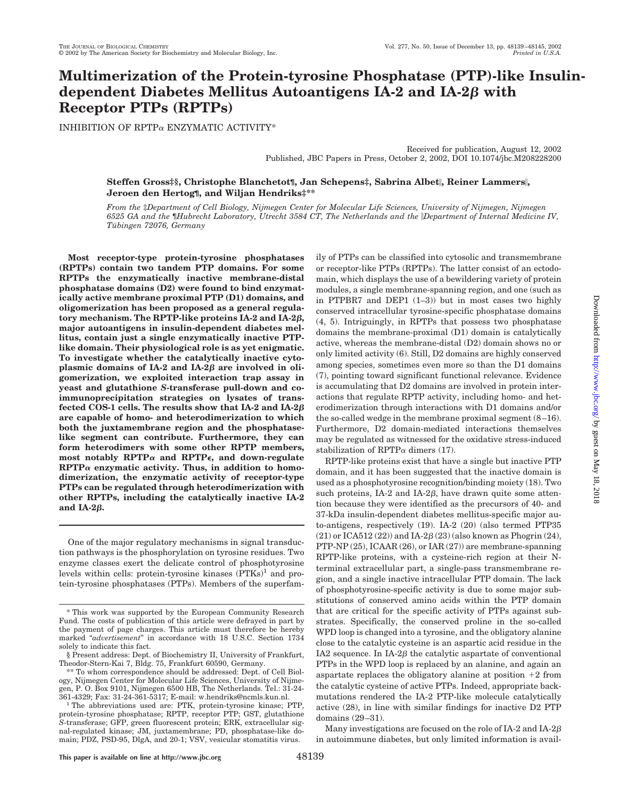# **Multimerization of the Protein-tyrosine Phosphatase (PTP)-like Insulindependent Diabetes Mellitus Autoantigens IA-2 and IA-2 with Receptor PTPs (RPTPs)**

INHIBITION OF RPTP $\alpha$  ENZYMATIC ACTIVITY\*

Received for publication, August 12, 2002 Published, JBC Papers in Press, October 2, 2002, DOI 10.1074/jbc.M208228200

## **Steffen Gross‡§, Christophe Blanchetot¶, Jan Schepens‡, Sabrina Albet, Reiner Lammers, Jeroen den Hertog¶, and Wiljan Hendriks‡\*\***

*From the* ‡*Department of Cell Biology, Nijmegen Center for Molecular Life Sciences, University of Nijmegen, Nijmegen 6525 GA and the* ¶*Hubrecht Laboratory, Utrecht 3584 CT, The Netherlands and the Department of Internal Medicine IV, Tu¨bingen 72076, Germany*

**Most receptor-type protein-tyrosine phosphatases (RPTPs) contain two tandem PTP domains. For some RPTPs the enzymatically inactive membrane-distal phosphatase domains (D2) were found to bind enzymatically active membrane proximal PTP (D1) domains, and oligomerization has been proposed as a general regulatory mechanism. The RPTP-like proteins IA-2 and IA-2, major autoantigens in insulin-dependent diabetes mellitus, contain just a single enzymatically inactive PTPlike domain. Their physiological role is as yet enigmatic. To investigate whether the catalytically inactive cyto**plasmic domains of  $IA-2$  and  $IA-2\beta$  are involved in oli**gomerization, we exploited interaction trap assay in yeast and glutathione** *S***-transferase pull-down and coimmunoprecipitation strategies on lysates of transfected COS-1 cells. The results show that IA-2 and IA-2 are capable of homo- and heterodimerization to which both the juxtamembrane region and the phosphataselike segment can contribute. Furthermore, they can form heterodimers with some other RPTP members, most notably RPTP**- **and RPTP, and down-regulate** RPTP<sub>a</sub> enzymatic activity. Thus, in addition to homo**dimerization, the enzymatic activity of receptor-type PTPs can be regulated through heterodimerization with other RPTPs, including the catalytically inactive IA-2 and IA-2.**

One of the major regulatory mechanisms in signal transduction pathways is the phosphorylation on tyrosine residues. Two enzyme classes exert the delicate control of phosphotyrosine levels within cells: protein-tyrosine kinases  $(PTKs)^{1}$  and protein-tyrosine phosphatases (PTPs). Members of the superfamily of PTPs can be classified into cytosolic and transmembrane or receptor-like PTPs (RPTPs). The latter consist of an ectodomain, which displays the use of a bewildering variety of protein modules, a single membrane-spanning region, and one (such as in PTPBR7 and DEP1 (1–3)) but in most cases two highly conserved intracellular tyrosine-specific phosphatase domains (4, 5). Intriguingly, in RPTPs that possess two phosphatase domains the membrane-proximal (D1) domain is catalytically active, whereas the membrane-distal (D2) domain shows no or only limited activity (6). Still, D2 domains are highly conserved among species, sometimes even more so than the D1 domains (7), pointing toward significant functional relevance. Evidence is accumulating that D2 domains are involved in protein interactions that regulate RPTP activity, including homo- and heterodimerization through interactions with D1 domains and/or the so-called wedge in the membrane proximal segment (8–16). Furthermore, D2 domain-mediated interactions themselves may be regulated as witnessed for the oxidative stress-induced stabilization of RPTP $\alpha$  dimers (17).

RPTP-like proteins exist that have a single but inactive PTP domain, and it has been suggested that the inactive domain is used as a phosphotyrosine recognition/binding moiety (18). Two such proteins,  $IA-2$  and  $IA-2\beta$ , have drawn quite some attention because they were identified as the precursors of 40- and 37-kDa insulin-dependent diabetes mellitus-specific major auto-antigens, respectively (19). IA-2 (20) (also termed PTP35  $(21)$  or ICA512  $(22)$ ) and IA-2 $\beta$   $(23)$  (also known as Phogrin  $(24)$ , PTP-NP (25), ICAAR (26), or IAR (27)) are membrane-spanning RPTP-like proteins, with a cysteine-rich region at their Nterminal extracellular part, a single-pass transmembrane region, and a single inactive intracellular PTP domain. The lack of phosphotyrosine-specific activity is due to some major substitutions of conserved amino acids within the PTP domain that are critical for the specific activity of PTPs against substrates. Specifically, the conserved proline in the so-called WPD loop is changed into a tyrosine, and the obligatory alanine close to the catalytic cysteine is an aspartic acid residue in the IA2 sequence. In  $IA-2\beta$  the catalytic aspartate of conventional PTPs in the WPD loop is replaced by an alanine, and again an aspartate replaces the obligatory alanine at position  $+2$  from the catalytic cysteine of active PTPs. Indeed, appropriate backmutations rendered the IA-2 PTP-like molecule catalytically active (28), in line with similar findings for inactive D2 PTP domains (29–31).

Many investigations are focused on the role of IA-2 and IA-2 $\beta$ in autoimmune diabetes, but only limited information is avail-

<sup>\*</sup> This work was supported by the European Community Research Fund. The costs of publication of this article were defrayed in part by the payment of page charges. This article must therefore be hereby marked "*advertisement*" in accordance with 18 U.S.C. Section 1734 solely to indicate this fact.

<sup>§</sup> Present address: Dept. of Biochemistry II, University of Frankfurt, Theodor-Stern-Kai 7, Bldg. 75, Frankfurt 60590, Germany.

<sup>\*\*</sup> To whom correspondence should be addressed: Dept. of Cell Biology, Nijmegen Center for Molecular Life Sciences, University of Nijmegen, P. O. Box 9101, Nijmegen 6500 HB, The Netherlands. Tel.: 31-24-361-4329; Fax: 31-24-361-5317; E-mail: w.hendriks@ncmls.kun.nl.

<sup>&</sup>lt;sup>1</sup>The abbreviations used are: PTK, protein-tyrosine kinase; PTP, protein-tyrosine phosphatase; RPTP, receptor PTP; GST, glutathione *S*-transferase; GFP, green fluorescent protein; ERK, extracellular signal-regulated kinase; JM, juxtamembrane; PD, phosphatase-like domain; PDZ, PSD-95, DlgA, and 20-1; VSV, vesicular stomatitis virus.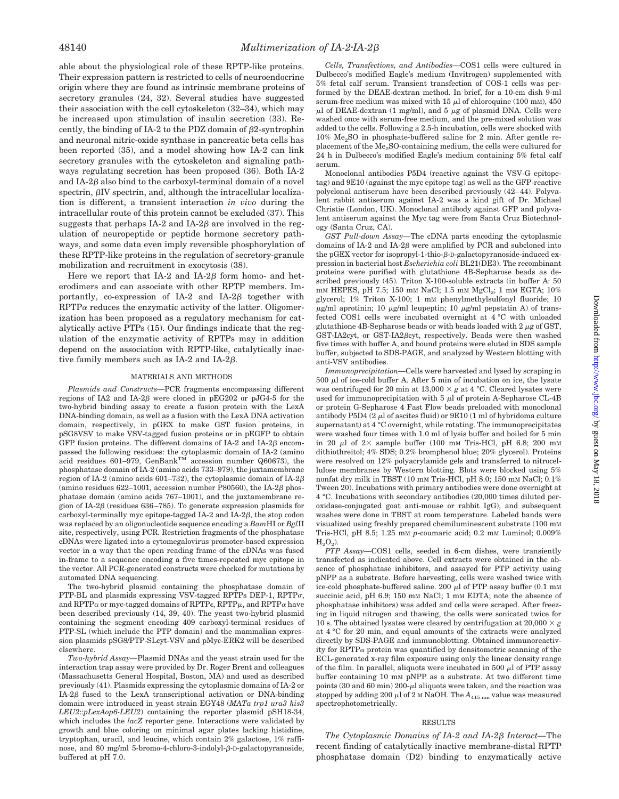able about the physiological role of these RPTP-like proteins. Their expression pattern is restricted to cells of neuroendocrine origin where they are found as intrinsic membrane proteins of secretory granules (24, 32). Several studies have suggested their association with the cell cytoskeleton (32–34), which may be increased upon stimulation of insulin secretion (33). Recently, the binding of IA-2 to the PDZ domain of  $\beta$ 2-syntrophin and neuronal nitric-oxide synthase in pancreatic beta cells has been reported (35), and a model showing how IA-2 can link secretory granules with the cytoskeleton and signaling pathways regulating secretion has been proposed (36). Both IA-2 and IA-2 $\beta$  also bind to the carboxyl-terminal domain of a novel  $spectrum, \beta IV$  spectrin, and, although the intracellular localization is different, a transient interaction *in vivo* during the intracellular route of this protein cannot be excluded (37). This suggests that perhaps  $IA-2$  and  $IA-2\beta$  are involved in the regulation of neuropeptide or peptide hormone secretory pathways, and some data even imply reversible phosphorylation of these RPTP-like proteins in the regulation of secretory-granule mobilization and recruitment in exocytosis (38).

Here we report that IA-2 and IA-2 $\beta$  form homo- and heterodimers and can associate with other RPTP members. Importantly, co-expression of IA-2 and IA-2 $\beta$  together with  $RPTP\alpha$  reduces the enzymatic activity of the latter. Oligomerization has been proposed as a regulatory mechanism for catalytically active PTPs (15). Our findings indicate that the regulation of the enzymatic activity of RPTPs may in addition depend on the association with RPTP-like, catalytically inactive family members such as  $IA-2$  and  $IA-2\beta$ .

### MATERIALS AND METHODS

*Plasmids and Constructs—*PCR fragments encompassing different regions of IA2 and IA-2 $\beta$  were cloned in pEG202 or pJG4-5 for the two-hybrid binding assay to create a fusion protein with the LexA DNA-binding domain, as well as a fusion with the LexA DNA activation domain, respectively, in pGEX to make GST fusion proteins, in pSG8VSV to make VSV-tagged fusion proteins or in pEGFP to obtain GFP fusion proteins. The different domains of IA-2 and IA-2 $\beta$  encompassed the following residues: the cytoplasmic domain of IA-2 (amino acid residues  $601-979$ ,  $GenBank^{TM}$  accession number  $Q60673$ ), the phosphatase domain of IA-2 (amino acids 733–979), the juxtamembrane region of IA-2 (amino acids 601–732), the cytoplasmic domain of IA-2*B* (amino residues  $622-1001$ , accession number P80560), the IA-2 $\beta$  phosphatase domain (amino acids 767–1001), and the juxtamembrane region of IA-2 $\beta$  (residues 636–785). To generate expression plasmids for carboxyl-terminally myc epitope-tagged IA-2 and IA-2 $\beta$ , the stop codon was replaced by an oligonucleotide sequence encoding a *Bam*HI or *Bgl*II site, respectively, using PCR. Restriction fragments of the phosphatase cDNAs were ligated into a cytomegalovirus promoter-based expression vector in a way that the open reading frame of the cDNAs was fused in-frame to a sequence encoding a five times-repeated myc epitope in the vector. All PCR-generated constructs were checked for mutations by automated DNA sequencing.

The two-hybrid plasmid containing the phosphatase domain of PTP-BL and plasmids expressing VSV-tagged RPTPs DEP-1, RPTP $\sigma$ , and RPTP $\alpha$  or myc-tagged domains of RPTP $\epsilon$ , RPTP $\mu$ , and RPTP $\alpha$  have been described previously (14, 39, 40). The yeast two-hybrid plasmid containing the segment encoding 409 carboxyl-terminal residues of PTP-SL (which include the PTP domain) and the mammalian expression plasmids pSG8/PTP-SLcyt-VSV and pMyc-ERK2 will be described elsewhere.

*Two-hybrid Assay—*Plasmid DNAs and the yeast strain used for the interaction trap assay were provided by Dr. Roger Brent and colleagues (Massachusetts General Hospital, Boston, MA) and used as described previously (41). Plasmids expressing the cytoplasmic domains of IA-2 or IA-2 $\beta$  fused to the LexA transcriptional activation or DNA-binding domain were introduced in yeast strain EGY48 (*MATa trp1 ura3 his3 LEU2*::*pLexAop6-LEU2*) containing the reporter plasmid pSH18-34, which includes the *lacZ* reporter gene. Interactions were validated by growth and blue coloring on minimal agar plates lacking histidine, tryptophan, uracil, and leucine, which contain 2% galactose, 1% raffinose, and 80 mg/ml 5-bromo-4-chloro-3-indolyl-β-D-galactopyranoside, buffered at pH 7.0.

*Cells, Transfections, and Antibodies—*COS1 cells were cultured in Dulbecco's modified Eagle's medium (Invitrogen) supplemented with 5% fetal calf serum. Transient transfection of COS-1 cells was performed by the DEAE-dextran method. In brief, for a 10-cm dish 9-ml serum-free medium was mixed with 15  $\mu$ l of chloroquine (100 mM), 450  $\mu$ l of DEAE-dextran (1 mg/ml), and 5  $\mu$ g of plasmid DNA. Cells were washed once with serum-free medium, and the pre-mixed solution was added to the cells. Following a 2.5-h incubation, cells were shocked with  $10\%$  Me<sub>2</sub>SO in phosphate-buffered saline for 2 min. After gentle replacement of the Me<sub>2</sub>SO-containing medium, the cells were cultured for 24 h in Dulbecco's modified Eagle's medium containing 5% fetal calf serum.

Monoclonal antibodies P5D4 (reactive against the VSV-G epitopetag) and 9E10 (against the myc epitope tag) as well as the GFP-reactive polyclonal antiserum have been described previously (42–44). Polyvalent rabbit antiserum against IA-2 was a kind gift of Dr. Michael Christie (London, UK). Monoclonal antibody against GFP and polyvalent antiserum against the Myc tag were from Santa Cruz Biotechnology (Santa Cruz, CA).

*GST Pull-down Assay—*The cDNA parts encoding the cytoplasmic domains of IA-2 and IA-2 $\beta$  were amplified by PCR and subcloned into  $the \text{ pGEX vector}$  for isopropyl-1-thio- $\beta$ -D-galactopyranoside-induced expression in bacterial host *Escherichia coli* BL21(DE3). The recombinant proteins were purified with glutathione 4B-Sepharose beads as described previously (45). Triton X-100-soluble extracts (in buffer A: 50 mM HEPES, pH 7.5; 150 mM NaCl; 1.5 mM MgCl<sub>2</sub>; 1 mM EGTA; 10% glycerol; 1% Triton X-100; 1 mM phenylmethylsulfonyl fluoride; 10  $\mu$ g/ml aprotinin; 10  $\mu$ g/ml leupeptin; 10  $\mu$ g/ml pepstatin A) of transfected COS1 cells were incubated overnight at 4 °C with unloaded glutathione 4B-Sepharose beads or with beads loaded with  $2 \mu$ g of GST,  $GST-IA2cyt$ , or  $GST-IA2\beta cyt$ , respectively. Beads were then washed five times with buffer A, and bound proteins were eluted in SDS sample buffer, subjected to SDS-PAGE, and analyzed by Western blotting with anti-VSV antibodies.

*Immunoprecipitation—*Cells were harvested and lysed by scraping in  $500 \mu l$  of ice-cold buffer A. After 5 min of incubation on ice, the lysate was centrifuged for 20 min at  $13,000 \times g$  at 4 °C. Cleared lysates were used for immunoprecipitation with 5  $\mu$ l of protein A-Sepharose CL-4B or protein G-Sepharose 4 Fast Flow beads preloaded with monoclonal antibody P5D4  $(2 \mu)$  of ascites fluid) or 9E10  $(1 \text{ ml of hybridoma culture})$ supernatant) at 4 °C overnight, while rotating. The immunoprecipitates were washed four times with 1.0 ml of lysis buffer and boiled for 5 min in 20  $\mu$ l of 2 $\times$  sample buffer (100 mM Tris-HCl, pH 6.8; 200 mM dithiothreitol; 4% SDS; 0.2% bromphenol blue; 20% glycerol). Proteins were resolved on 12% polyacrylamide gels and transferred to nitrocellulose membranes by Western blotting. Blots were blocked using 5% nonfat dry milk in TBST (10 mM Tris-HCl, pH 8.0; 150 mM NaCl; 0.1% Tween 20). Incubations with primary antibodies were done overnight at 4 °C. Incubations with secondary antibodies (20,000 times diluted peroxidase-conjugated goat anti-mouse or rabbit IgG), and subsequent washes were done in TBST at room temperature. Labeled bands were visualized using freshly prepared chemiluminescent substrate (100 mM Tris-HCl, pH 8.5; 1.25 mM *p*-coumaric acid; 0.2 mM Luminol; 0.009%  $H<sub>2</sub>O<sub>2</sub>$ ).

*PTP Assay—*COS1 cells, seeded in 6-cm dishes, were transiently transfected as indicated above. Cell extracts were obtained in the absence of phosphatase inhibitors, and assayed for PTP activity using pNPP as a substrate. Before harvesting, cells were washed twice with ice-cold phosphate-buffered saline. 200  $\mu$ l of PTP assay buffer (0.1 mM succinic acid, pH 6.9; 150 mm NaCl; 1 mm EDTA; note the absence of phosphatase inhibitors) was added and cells were scraped. After freezing in liquid nitrogen and thawing, the cells were sonicated twice for 10 s. The obtained lysates were cleared by centrifugation at  $20,000 \times g$ at 4 °C for 20 min, and equal amounts of the extracts were analyzed directly by SDS-PAGE and immunoblotting. Obtained immunoreactivity for RPTP $\alpha$  protein was quantified by densitometric scanning of the ECL-generated x-ray film exposure using only the linear density range of the film. In parallel, aliquots were incubated in 500  $\mu$ l of PTP assay buffer containing 10 mM pNPP as a substrate. At two different time points (30 and 60 min)  $200-\mu l$  aliquots were taken, and the reaction was stopped by adding 200  $\mu$ l of 2 M NaOH. The  $A_{415 \text{ nm}}$  value was measured spectrophotometrically.

#### RESULTS

The Cytoplasmic Domains of IA-2 and IA-2<sub>β</sub> Interact—The recent finding of catalytically inactive membrane-distal RPTP phosphatase domain (D2) binding to enzymatically active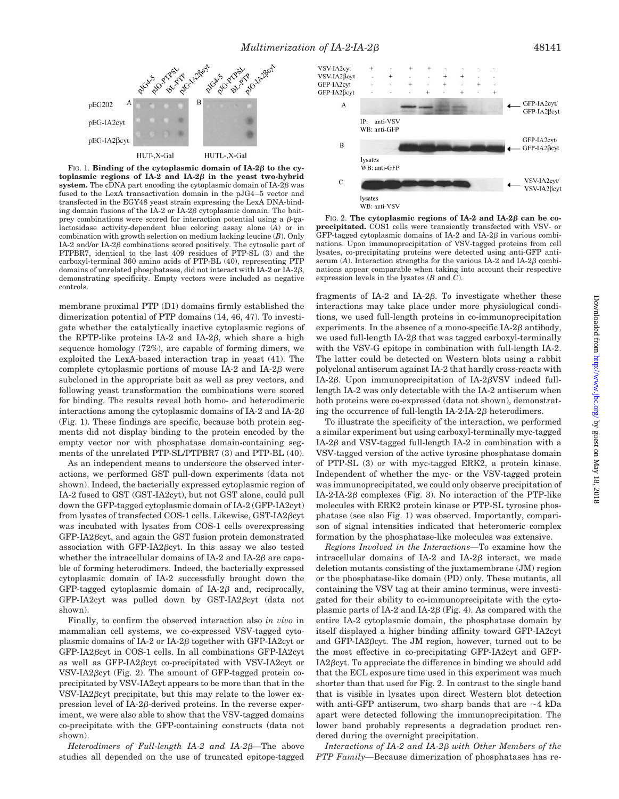

FIG. 1. **Binding of the cytoplasmic domain of IA-2** $\beta$  **to the cytoplasmic regions of IA-2 and IA-2 in the yeast two-hybrid system.** The cDNA part encoding the cytoplasmic domain of  $IA-2\beta$  was fused to the LexA transactivation domain in the pJG4–5 vector and transfected in the EGY48 yeast strain expressing the LexA DNA-binding domain fusions of the IA-2 or IA-2 $\beta$  cytoplasmic domain. The baitprey combinations were scored for interaction potential using a  $\beta$ -galactosidase activity-dependent blue coloring assay alone (*A*) or in combination with growth selection on medium lacking leucine (*B*). Only IA-2 and/or IA-2 $\beta$  combinations scored positively. The cytosolic part of PTPBR7, identical to the last 409 residues of PTP-SL (3) and the carboxyl-terminal 360 amino acids of PTP-BL (40), representing PTP domains of unrelated phosphatases, did not interact with  $IA-2$  or  $IA-2\beta$ , demonstrating specificity. Empty vectors were included as negative controls.

membrane proximal PTP (D1) domains firmly established the dimerization potential of PTP domains (14, 46, 47). To investigate whether the catalytically inactive cytoplasmic regions of the RPTP-like proteins IA-2 and IA-2 $\beta$ , which share a high sequence homology (72%), are capable of forming dimers, we exploited the LexA-based interaction trap in yeast (41). The complete cytoplasmic portions of mouse IA-2 and IA-2 $\beta$  were subcloned in the appropriate bait as well as prey vectors, and following yeast transformation the combinations were scored for binding. The results reveal both homo- and heterodimeric interactions among the cytoplasmic domains of IA-2 and IA-2 $\beta$ (Fig. 1). These findings are specific, because both protein segments did not display binding to the protein encoded by the empty vector nor with phosphatase domain-containing segments of the unrelated PTP-SL/PTPBR7 (3) and PTP-BL (40).

As an independent means to underscore the observed interactions, we performed GST pull-down experiments (data not shown). Indeed, the bacterially expressed cytoplasmic region of IA-2 fused to GST (GST-IA2cyt), but not GST alone, could pull down the GFP-tagged cytoplasmic domain of IA-2 (GFP-IA2cyt) from lysates of transfected COS-1 cells. Likewise, GST-IA2 $\beta$ cyt was incubated with lysates from COS-1 cells overexpressing  $GFP-IA2\beta$ cyt, and again the GST fusion protein demonstrated association with GFP-IA2 $\beta$ cyt. In this assay we also tested whether the intracellular domains of IA-2 and IA-2 $\beta$  are capable of forming heterodimers. Indeed, the bacterially expressed cytoplasmic domain of IA-2 successfully brought down the  $GFP$ -tagged cytoplasmic domain of  $IA-2\beta$  and, reciprocally,  $GFP-IA2cyt$  was pulled down by  $GST-IA2\beta cyt$  (data not shown).

Finally, to confirm the observed interaction also *in vivo* in mammalian cell systems, we co-expressed VSV-tagged cytoplasmic domains of IA-2 or IA-2 $\beta$  together with GFP-IA2cyt or  $GFP-IA2\beta$ cyt in COS-1 cells. In all combinations  $GFP-IA2$ cyt as well as GFP-IA2 $\beta$ cyt co-precipitated with VSV-IA2cyt or  $VSV-IA2\beta$ cyt (Fig. 2). The amount of GFP-tagged protein coprecipitated by VSV-IA2cyt appears to be more than that in the  $VSV-IA2\beta$ cyt precipitate, but this may relate to the lower expression level of  $IA-2\beta$ -derived proteins. In the reverse experiment, we were also able to show that the VSV-tagged domains co-precipitate with the GFP-containing constructs (data not shown).

*Heterodimers of Full-length IA-2 and IA-2β—The above* studies all depended on the use of truncated epitope-tagged



FIG. 2. The cytoplasmic regions of IA-2 and IA-2<sup>B</sup> can be co**precipitated.** COS1 cells were transiently transfected with VSV- or GFP-tagged cytoplasmic domains of IA-2 and IA-2 $\beta$  in various combinations. Upon immunoprecipitation of VSV-tagged proteins from cell lysates, co-precipitating proteins were detected using anti-GFP antiserum  $(A)$ . Interaction strengths for the various IA-2 and IA-2 $\beta$  combinations appear comparable when taking into account their respective expression levels in the lysates (*B* and *C*).

fragments of IA-2 and IA-2 $\beta$ . To investigate whether these interactions may take place under more physiological conditions, we used full-length proteins in co-immunoprecipitation experiments. In the absence of a mono-specific  $IA-2\beta$  antibody, we used full-length IA-2 $\beta$  that was tagged carboxyl-terminally with the VSV-G epitope in combination with full-length IA-2. The latter could be detected on Western blots using a rabbit polyclonal antiserum against IA-2 that hardly cross-reacts with IA-2 $\beta$ . Upon immunoprecipitation of IA-2 $\beta$ VSV indeed fulllength IA-2 was only detectable with the IA-2 antiserum when both proteins were co-expressed (data not shown), demonstrating the occurrence of full-length  $IA-2<sup>t</sup>IA-2<sup>\beta</sup>$  heterodimers.

To illustrate the specificity of the interaction, we performed a similar experiment but using carboxyl-terminally myc-tagged IA-2 $\beta$  and VSV-tagged full-length IA-2 in combination with a VSV-tagged version of the active tyrosine phosphatase domain of PTP-SL (3) or with myc-tagged ERK2, a protein kinase. Independent of whether the myc- or the VSV-tagged protein was immunoprecipitated, we could only observe precipitation of IA-2·IA-2 $\beta$  complexes (Fig. 3). No interaction of the PTP-like molecules with ERK2 protein kinase or PTP-SL tyrosine phosphatase (see also Fig. 1) was observed. Importantly, comparison of signal intensities indicated that heteromeric complex formation by the phosphatase-like molecules was extensive.

*Regions Involved in the Interactions—*To examine how the intracellular domains of IA-2 and IA-2 $\beta$  interact, we made deletion mutants consisting of the juxtamembrane (JM) region or the phosphatase-like domain (PD) only. These mutants, all containing the VSV tag at their amino terminus, were investigated for their ability to co-immunoprecipitate with the cytoplasmic parts of IA-2 and IA-2 $\beta$  (Fig. 4). As compared with the entire IA-2 cytoplasmic domain, the phosphatase domain by itself displayed a higher binding affinity toward GFP-IA2cyt and GFP-IA2 $\beta$ cyt. The JM region, however, turned out to be the most effective in co-precipitating GFP-IA2cyt and GFP- $IA2\beta$ cyt. To appreciate the difference in binding we should add that the ECL exposure time used in this experiment was much shorter than that used for Fig. 2. In contrast to the single band that is visible in lysates upon direct Western blot detection with anti-GFP antiserum, two sharp bands that are  $\sim$ 4 kDa apart were detected following the immunoprecipitation. The lower band probably represents a degradation product rendered during the overnight precipitation.

Interactions of IA-2 and IA-2β with Other Members of the *PTP Family—*Because dimerization of phosphatases has re-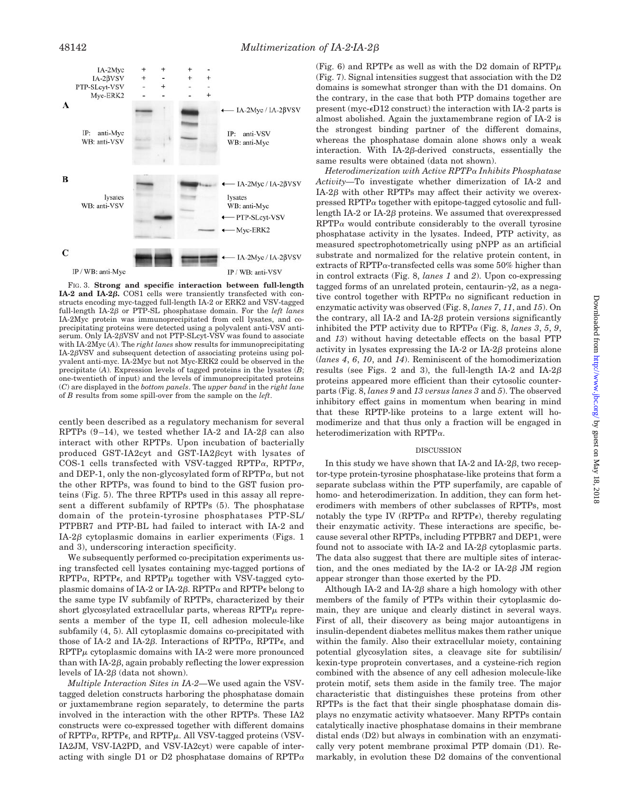

FIG. 3. **Strong and specific interaction between full-length IA-2 and IA-2.** COS1 cells were transiently transfected with constructs encoding myc-tagged full-length IA-2 or ERK2 and VSV-tagged full-length IA-2 $\beta$  or PTP-SL phosphatase domain. For the *left lanes* IA-2Myc protein was immunoprecipitated from cell lysates, and coprecipitating proteins were detected using a polyvalent anti-VSV antiserum. Only IA-2 $\beta$ VSV and not PTP-SLcyt-VSV was found to associate with IA-2Myc (*A*). The *right lanes* show results for immunoprecipitating  $IA-2\beta$ VSV and subsequent detection of associating proteins using polyvalent anti-myc. IA-2Myc but not Myc-ERK2 could be observed in the precipitate (*A*). Expression levels of tagged proteins in the lysates (*B*; one-twentieth of input) and the levels of immunoprecipitated proteins (*C*) are displayed in the *bottom panels*. The *upper band* in the *right lane* of *B* results from some spill-over from the sample on the *left*.

cently been described as a regulatory mechanism for several RPTPs  $(9-14)$ , we tested whether IA-2 and IA-2 $\beta$  can also interact with other RPTPs. Upon incubation of bacterially produced GST-IA2cyt and GST-IA2βcyt with lysates of COS-1 cells transfected with VSV-tagged RPTP $\alpha$ , RPTP $\sigma$ , and DEP-1, only the non-glycosylated form of  $RPTP\alpha$ , but not the other RPTPs, was found to bind to the GST fusion proteins (Fig. 5). The three RPTPs used in this assay all represent a different subfamily of RPTPs (5). The phosphatase domain of the protein-tyrosine phosphatases PTP-SL/ PTPBR7 and PTP-BL had failed to interact with IA-2 and  $IA-2\beta$  cytoplasmic domains in earlier experiments (Figs. 1) and 3), underscoring interaction specificity.

We subsequently performed co-precipitation experiments using transfected cell lysates containing myc-tagged portions of  $RPTP\alpha$ ,  $RPTP\epsilon$ , and  $RPTP\mu$  together with VSV-tagged cytoplasmic domains of IA-2 or IA-2 $\beta$ . RPTP $\alpha$  and RPTP $\epsilon$  belong to the same type IV subfamily of RPTPs, characterized by their short glycosylated extracellular parts, whereas  $RPTP\mu$  represents a member of the type II, cell adhesion molecule-like subfamily (4, 5). All cytoplasmic domains co-precipitated with those of IA-2 and IA-2 $\beta$ . Interactions of RPTP $\alpha$ , RPTP $\epsilon$ , and  $RPTP\mu$  cytoplasmic domains with IA-2 were more pronounced than with  $IA-2\beta$ , again probably reflecting the lower expression levels of  $IA-2\beta$  (data not shown).

*Multiple Interaction Sites in IA-2—*We used again the VSVtagged deletion constructs harboring the phosphatase domain or juxtamembrane region separately, to determine the parts involved in the interaction with the other RPTPs. These IA2 constructs were co-expressed together with different domains of RPTP $\alpha$ , RPTP $\epsilon$ , and RPTP $\mu$ . All VSV-tagged proteins (VSV-IA2JM, VSV-IA2PD, and VSV-IA2cyt) were capable of interacting with single D1 or D2 phosphatase domains of  $RPTP\alpha$  (Fig. 6) and RPTP $\epsilon$  as well as with the D2 domain of RPTP $\mu$ (Fig. 7). Signal intensities suggest that association with the D2 domains is somewhat stronger than with the D1 domains. On the contrary, in the case that both PTP domains together are present (myc- $\epsilon$ D12 construct) the interaction with IA-2 parts is almost abolished. Again the juxtamembrane region of IA-2 is the strongest binding partner of the different domains, whereas the phosphatase domain alone shows only a weak interaction. With  $IA-2\beta$ -derived constructs, essentially the same results were obtained (data not shown).

*Heterodimerization with Active RPTP Inhibits Phosphatase Activity—*To investigate whether dimerization of IA-2 and  $IA-2\beta$  with other RPTPs may affect their activity we overexpressed RPTP $\alpha$  together with epitope-tagged cytosolic and fulllength IA-2 or IA-2 $\beta$  proteins. We assumed that overexpressed  $RPTP\alpha$  would contribute considerably to the overall tyrosine phosphatase activity in the lysates. Indeed, PTP activity, as measured spectrophotometrically using pNPP as an artificial substrate and normalized for the relative protein content, in extracts of RPTP $\alpha$ -transfected cells was some 50% higher than in control extracts (Fig. 8, *lanes 1* and *2*). Upon co-expressing tagged forms of an unrelated protein, centaurin- $\gamma$ 2, as a negative control together with  $RPTP\alpha$  no significant reduction in enzymatic activity was observed (Fig. 8, *lanes 7*, *11*, and *15*). On the contrary, all IA-2 and IA-2 $\beta$  protein versions significantly inhibited the PTP activity due to RPTP $\alpha$  (Fig. 8, *lanes 3*, 5, 9, and *13*) without having detectable effects on the basal PTP activity in lysates expressing the IA-2 or IA-2 $\beta$  proteins alone (*lanes 4*, *6*, *10*, and *14*). Reminiscent of the homodimerization results (see Figs. 2 and 3), the full-length IA-2 and IA-2 $\beta$ proteins appeared more efficient than their cytosolic counterparts (Fig. 8, *lanes 9* and *13 versus lanes 3* and *5*). The observed inhibitory effect gains in momentum when bearing in mind that these RPTP-like proteins to a large extent will homodimerize and that thus only a fraction will be engaged in heterodimerization with  $RPTP\alpha$ .

#### **DISCUSSION**

In this study we have shown that  $IA-2$  and  $IA-2\beta$ , two receptor-type protein-tyrosine phosphatase-like proteins that form a separate subclass within the PTP superfamily, are capable of homo- and heterodimerization. In addition, they can form heterodimers with members of other subclasses of RPTPs, most notably the type IV (RPTP $\alpha$  and RPTP $\epsilon$ ), thereby regulating their enzymatic activity. These interactions are specific, because several other RPTPs, including PTPBR7 and DEP1, were found not to associate with IA-2 and IA-2 $\beta$  cytoplasmic parts. The data also suggest that there are multiple sites of interaction, and the ones mediated by the IA-2 or IA-2 $\beta$  JM region appear stronger than those exerted by the PD.

Although IA-2 and IA-2 $\beta$  share a high homology with other members of the family of PTPs within their cytoplasmic domain, they are unique and clearly distinct in several ways. First of all, their discovery as being major autoantigens in insulin-dependent diabetes mellitus makes them rather unique within the family. Also their extracellular moiety, containing potential glycosylation sites, a cleavage site for subtilisin/ kexin-type proprotein convertases, and a cysteine-rich region combined with the absence of any cell adhesion molecule-like protein motif, sets them aside in the family tree. The major characteristic that distinguishes these proteins from other RPTPs is the fact that their single phosphatase domain displays no enzymatic activity whatsoever. Many RPTPs contain catalytically inactive phosphatase domains in their membrane distal ends (D2) but always in combination with an enzymatically very potent membrane proximal PTP domain (D1). Remarkably, in evolution these D2 domains of the conventional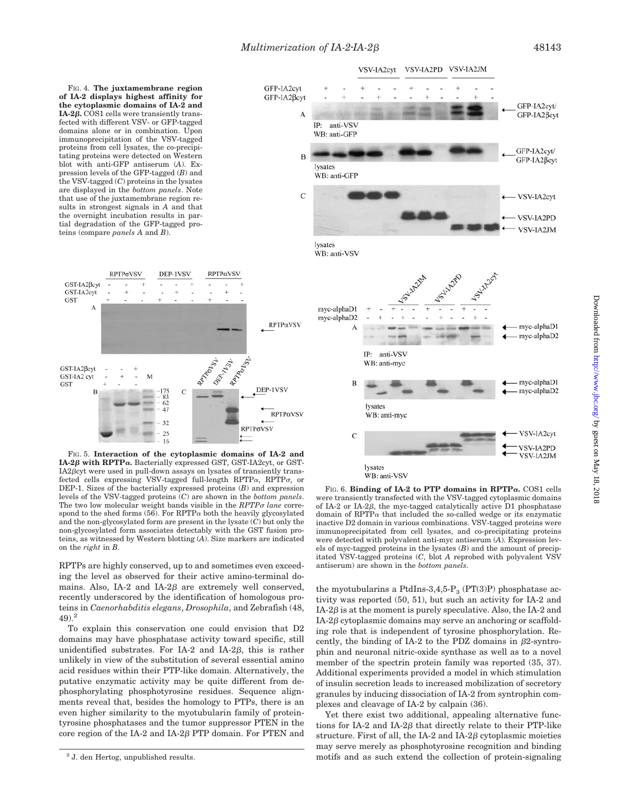FIG. 4. **The juxtamembrane region of IA-2 displays highest affinity for the cytoplasmic domains of IA-2 and IA-2.** COS1 cells were transiently transfected with different VSV- or GFP-tagged domains alone or in combination. Upon immunoprecipitation of the VSV-tagged proteins from cell lysates, the co-precipitating proteins were detected on Western blot with anti-GFP antiserum (*A*). Expression levels of the GFP-tagged (*B*) and the VSV-tagged (*C*) proteins in the lysates are displayed in the *bottom panels*. Note that use of the juxtamembrane region results in strongest signals in *A* and that the overnight incubation results in partial degradation of the GFP-tagged proteins (compare *panels A* and *B*).



FIG. 5. **Interaction of the cytoplasmic domains of IA-2 and**  $IA-2\beta$  with  $RPTP\alpha$ . Bacterially expressed GST, GST-IA2cyt, or GST- $IA2\beta$ cyt were used in pull-down assays on lysates of transiently transfected cells expressing VSV-tagged full-length RPTP $\alpha$ , RPTP $\sigma$ , or DEP-1. Sizes of the bacterially expressed proteins (*B*) and expression levels of the VSV-tagged proteins (*C*) are shown in the *bottom panels*. The two low molecular weight bands visible in the *RPTP* $\sigma$  *lane* correspond to the shed forms (56). For RPTP $\alpha$  both the heavily glycosylated and the non-glycosylated form are present in the lysate (*C*) but only the non-glycosylated form associates detectably with the GST fusion proteins, as witnessed by Western blotting (*A*). Size markers are indicated on the *right* in *B*.

RPTPs are highly conserved, up to and sometimes even exceeding the level as observed for their active amino-terminal domains. Also, IA-2 and IA-2 $\beta$  are extremely well conserved, recently underscored by the identification of homologous proteins in *Caenorhabditis elegans*, *Drosophila*, and Zebrafish (48,  $(49)^2$ 

To explain this conservation one could envision that D2 domains may have phosphatase activity toward specific, still unidentified substrates. For IA-2 and IA-2 $\beta$ , this is rather unlikely in view of the substitution of several essential amino acid residues within their PTP-like domain. Alternatively, the putative enzymatic activity may be quite different from dephosphorylating phosphotyrosine residues. Sequence alignments reveal that, besides the homology to PTPs, there is an even higher similarity to the myotubularin family of proteintyrosine phosphatases and the tumor suppressor PTEN in the core region of the IA-2 and IA-2 $\beta$  PTP domain. For PTEN and



B

 $\mathbf C$ 

lysates

lysates WB: anti-VSV

WB: anti-myc

FIG. 6. Binding of IA-2 to PTP domains in RPTPa. COS1 cells were transiently transfected with the VSV-tagged cytoplasmic domains of IA-2 or IA-2 $\beta$ , the myc-tagged catalytically active D1 phosphatase domain of RPTP $\alpha$  that included the so-called wedge or its enzymatic inactive D2 domain in various combinations. VSV-tagged proteins were immunoprecipitated from cell lysates, and co-precipitating proteins were detected with polyvalent anti-myc antiserum (*A*). Expression levels of myc-tagged proteins in the lysates (*B*) and the amount of precipitated VSV-tagged proteins (*C*, blot *A* reprobed with polyvalent VSV antiserum) are shown in the *bottom panels*.

the myotubularins a PtdIns-3,4,5- $P_3$  (PT(3)P) phosphatase activity was reported (50, 51), but such an activity for IA-2 and IA-2 $\beta$  is at the moment is purely speculative. Also, the IA-2 and  $IA-2\beta$  cytoplasmic domains may serve an anchoring or scaffolding role that is independent of tyrosine phosphorylation. Recently, the binding of IA-2 to the PDZ domains in  $\beta$ 2-syntrophin and neuronal nitric-oxide synthase as well as to a novel member of the spectrin protein family was reported (35, 37). Additional experiments provided a model in which stimulation of insulin secretion leads to increased mobilization of secretory granules by inducing dissociation of IA-2 from syntrophin complexes and cleavage of IA-2 by calpain (36).

Yet there exist two additional, appealing alternative functions for IA-2 and IA-2 $\beta$  that directly relate to their PTP-like structure. First of all, the IA-2 and IA-2 $\beta$  cytoplasmic moieties may serve merely as phosphotyrosine recognition and binding <sup>2</sup> J. den Hertog, unpublished results. The collection of protein-signaling 2. den Hertog, unpublished results.

myc-alphaD1

myc-alphaD2

VSV-IA2cyt

**VSV-JA2PD** VSV-IA2JM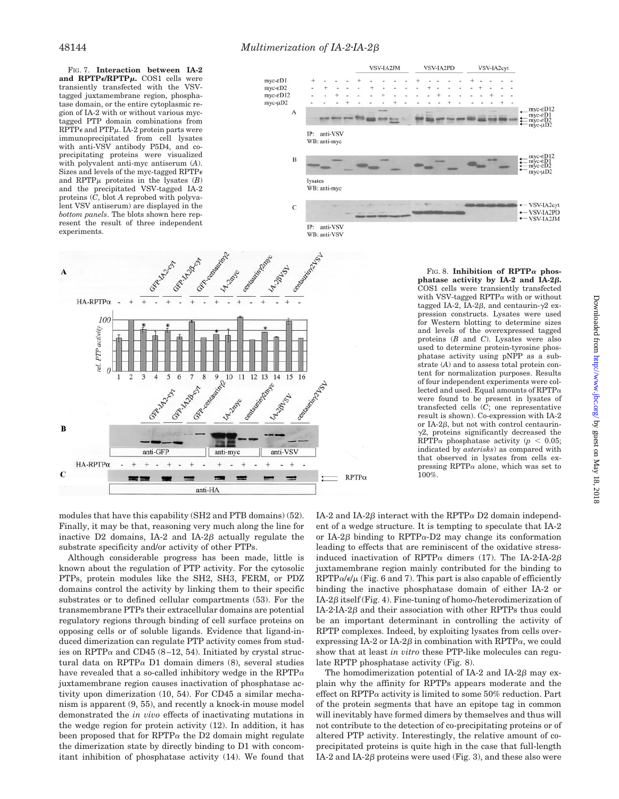FIG. 7. **Interaction between IA-2 and RPTP/RPTP.** COS1 cells were transiently transfected with the VSVtagged juxtamembrane region, phosphatase domain, or the entire cytoplasmic region of IA-2 with or without various myctagged PTP domain combinations from RPTP $\epsilon$  and PTP $\mu$ . IA-2 protein parts were immunoprecipitated from cell lysates with anti-VSV antibody P5D4, and coprecipitating proteins were visualized with polyvalent anti-myc antiserum (*A*). Sizes and levels of the myc-tagged RPTP $\epsilon$ and RPTP $\mu$  proteins in the lysates  $(B)$ and the precipitated VSV-tagged IA-2 proteins (*C*, blot *A* reprobed with polyvalent VSV antiserum) are displayed in the *bottom panels*. The blots shown here represent the result of three independent experiments.





FIG. 8. **Inhibition of RPTP** $\alpha$  phos**phatase activity by IA-2 and IA-2.** COS1 cells were transiently transfected with VSV-tagged RPTP $\alpha$  with or without tagged IA-2, IA-2 $\beta$ , and centaurin- $\gamma$ 2 expression constructs. Lysates were used for Western blotting to determine sizes and levels of the overexpressed tagged proteins (*B* and *C*). Lysates were also used to determine protein-tyrosine phosphatase activity using pNPP as a substrate (*A*) and to assess total protein content for normalization purposes. Results of four independent experiments were collected and used. Equal amounts of RPTP $\alpha$ were found to be present in lysates of transfected cells (*C*; one representative result is shown). Co-expression with IA-2 or IA-2 $\beta$ , but not with control centaurin- $\gamma$ 2, proteins significantly decreased the RPTP $\alpha$  phosphatase activity ( $p < 0.05$ ; indicated by *asterisks*) as compared with that observed in lysates from cells expressing RPTP $\alpha$  alone, which was set to 100%.

modules that have this capability (SH2 and PTB domains) (52). Finally, it may be that, reasoning very much along the line for inactive D2 domains, IA-2 and IA-2 $\beta$  actually regulate the substrate specificity and/or activity of other PTPs.

Although considerable progress has been made, little is known about the regulation of PTP activity. For the cytosolic PTPs, protein modules like the SH2, SH3, FERM, or PDZ domains control the activity by linking them to their specific substrates or to defined cellular compartments (53). For the transmembrane PTPs their extracellular domains are potential regulatory regions through binding of cell surface proteins on opposing cells or of soluble ligands. Evidence that ligand-induced dimerization can regulate PTP activity comes from studies on RPTP $\alpha$  and CD45 (8–12, 54). Initiated by crystal structural data on RPTP $\alpha$  D1 domain dimers (8), several studies have revealed that a so-called inhibitory wedge in the  $RPTP\alpha$ juxtamembrane region causes inactivation of phosphatase activity upon dimerization (10, 54). For CD45 a similar mechanism is apparent (9, 55), and recently a knock-in mouse model demonstrated the *in vivo* effects of inactivating mutations in the wedge region for protein activity (12). In addition, it has been proposed that for RPTP $\alpha$  the D2 domain might regulate the dimerization state by directly binding to D1 with concomitant inhibition of phosphatase activity (14). We found that

IA-2 and IA-2 $\beta$  interact with the RPTP $\alpha$  D2 domain independent of a wedge structure. It is tempting to speculate that IA-2 or IA-2 $\beta$  binding to RPTP $\alpha$ -D2 may change its conformation leading to effects that are reminiscent of the oxidative stressinduced inactivation of RPTP $\alpha$  dimers (17). The IA-2·IA-2 $\beta$ juxtamembrane region mainly contributed for the binding to  $RPTP\alpha/\epsilon/\mu$  (Fig. 6 and 7). This part is also capable of efficiently binding the inactive phosphatase domain of either IA-2 or  $IA-2\beta$  itself (Fig. 4). Fine-tuning of homo-/heterodimerization of  $IA-2<sup>T</sup>IA-2<sup>T</sup>\beta$  and their association with other RPTPs thus could be an important determinant in controlling the activity of RPTP complexes. Indeed, by exploiting lysates from cells overexpressing IA-2 or IA-2 $\beta$  in combination with RPTP $\alpha$ , we could show that at least *in vitro* these PTP-like molecules can regulate RPTP phosphatase activity (Fig. 8).

The homodimerization potential of IA-2 and IA-2 $\beta$  may explain why the affinity for RPTPs appears moderate and the effect on RPTP $\alpha$  activity is limited to some 50% reduction. Part of the protein segments that have an epitope tag in common will inevitably have formed dimers by themselves and thus will not contribute to the detection of co-precipitating proteins or of altered PTP activity. Interestingly, the relative amount of coprecipitated proteins is quite high in the case that full-length IA-2 and IA-2 $\beta$  proteins were used (Fig. 3), and these also were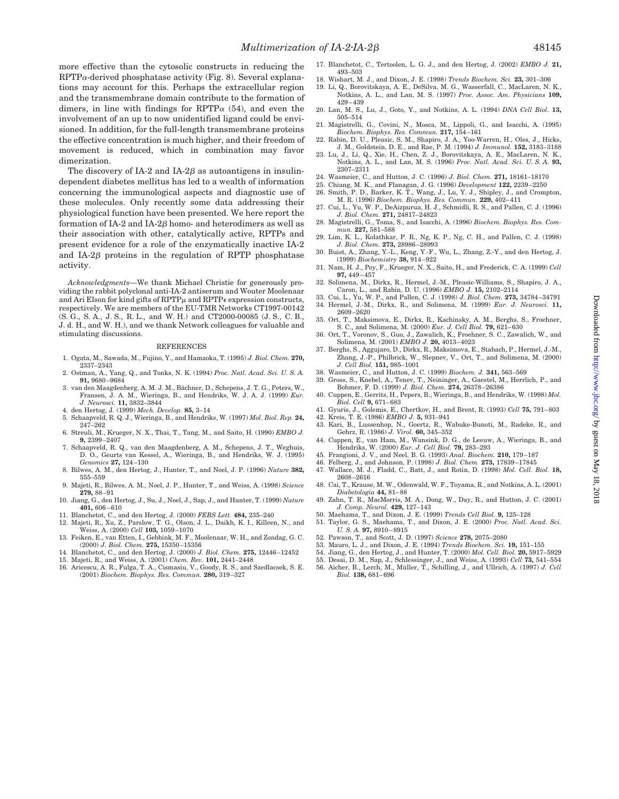more effective than the cytosolic constructs in reducing the  $RPTP\alpha$ -derived phosphatase activity (Fig. 8). Several explanations may account for this. Perhaps the extracellular region and the transmembrane domain contribute to the formation of dimers, in line with findings for RPTP $\alpha$  (54), and even the involvement of an up to now unidentified ligand could be envisioned. In addition, for the full-length transmembrane proteins the effective concentration is much higher, and their freedom of movement is reduced, which in combination may favor dimerization.

The discovery of IA-2 and IA-2 $\beta$  as autoantigens in insulindependent diabetes mellitus has led to a wealth of information concerning the immunological aspects and diagnostic use of these molecules. Only recently some data addressing their physiological function have been presented. We here report the formation of IA-2 and IA-2 $\beta$  homo- and heterodimers as well as their association with other, catalytically active, RPTPs and present evidence for a role of the enzymatically inactive IA-2 and IA-2 $\beta$  proteins in the regulation of RPTP phosphatase activity.

*Acknowledgments—*We thank Michael Christie for generously providing the rabbit polyclonal anti-IA-2 antiserum and Wouter Moolenaar and Ari Elson for kind gifts of  $RPTP\mu$  and  $RPTP\epsilon$  expression constructs, respectively. We are members of the EU-TMR Networks CT1997-00142 (S. G., S. A., J. S., R. L., and W. H.) and CT2000-00085 (J. S., C. B., J. d. H., and W. H.), and we thank Network colleagues for valuable and stimulating discussions.

#### REFERENCES

- 1. Ogata, M., Sawada, M., Fujino, Y., and Hamaoka, T. (1995) *J. Biol. Chem.* **270,** 2337–2343
- 2. Ostman, A., Yang, Q., and Tonks, N. K. (1994) *Proc. Natl. Acad. Sci. U. S. A.* **91,** 9680–9684
- 3. van den Maagdenberg, A. M. J. M., Bächner, D., Schepens, J. T. G., Peters, W., Fransen, J. A. M., Wieringa, B., and Hendriks, W. J. A. J. (1999) *Eur. J. Neurosci.* **11,** 3832–3844
- 4. den Hertog, J. (1999) *Mech. Develop.* **85,** 3–14
- 5. Schaapveld, R. Q. J., Wieringa, B., and Hendriks, W. (1997) *Mol. Biol. Rep.* **24,** 247–262
- 6. Streuli, M., Krueger, N. X., Thai, T., Tang, M., and Saito, H. (1990) *EMBO J.* **9,** 2399–2407
- 7. Schaapveld, R. Q., van den Maagdenberg, A. M., Schepens, J. T., Weghuis, D. O., Geurts van Kessel, A., Wieringa, B., and Hendriks, W. J. (1995) *Genomics* **27,** 124–130
- 8. Bilwes, A. M., den Hertog, J., Hunter, T., and Noel, J. P. (1996) *Nature* **382,** 555–559
- 9. Majeti, R., Bilwes, A. M., Noel, J. P., Hunter, T., and Weiss, A. (1998) *Science* **279,** 88–91
- 10. Jiang, G., den Hertog, J., Su, J., Noel, J., Sap, J., and Hunter, T. (1999) *Nature* **401,** 606–610
- 
- 11. Blanchetot, C., and den Hertog, J. (2000) *FEBS Lett.* **484,** 235–240 12. Majeti, R., Xu, Z., Parslow, T. G., Olson, J. L., Daikh, K. I., Killeen, N., and Weiss, A. (2000) *Cell* **103,** 1059–1070
- 13. Feiken, E., van Etten, I., Gebbink, M. F., Moolenaar, W. H., and Zondag, G. C. (2000) *J. Biol. Chem.* **275,** 15350–15356
- 14. Blanchetot, C., and den Hertog, J. (2000) *J. Biol. Chem.* **275,** 12446–12452
- 15. Majeti, R., and Weiss, A. (2001) *Chem. Rev.* **101,** 2441–2448
- 16. Aricescu, A. R., Fulga, T. A., Cismasiu, V., Goody, R. S., and Szedlacsek, S. E. (2001) *Biochem. Biophys. Res. Commun.* **280,** 319–327
- 17. Blanchetot, C., Tertoolen, L. G. J., and den Hertog, J. (2002) *EMBO J.* **21,** 493–503
- 18. Wishart, M. J., and Dixon, J. E. (1998) *Trends Biochem. Sci.* **23,** 301–306
- 19. Li, Q., Borovitskaya, A. E., DeSilva, M. G., Wasserfall, C., MacLaren, N. K., Notkins, A. L., and Lan, M. S. (1997) *Proc. Assoc. Am. Physicians* **109,** 429–439
- 20. Lan, M. S., Lu, J., Goto, Y., and Notkins, A. L. (1994) *DNA Cell Biol.* **13,** 505–514
- 21. Magistrelli, G., Covini, N., Mosca, M., Lippoli, G., and Isacchi, A. (1995) *Biochem. Biophys. Res. Commun.* **217,** 154–161
- 22. Rabin, D. U., Pleasic, S. M., Shapiro, J. A., Yoo-Warren, H., Oles, J., Hicks, J. M., Goldstein, D. E., and Rae, P. M. (1994) *J. Immunol.* **152,** 3183–3188
- 23. Lu, J., Li, Q., Xie, H., Chen, Z. J., Borovitskaya, A. E., MacLaren, N. K., Notkins, A. L., and Lan, M. S. (1996) *Proc. Natl. Acad. Sci. U. S. A.* **93,** 2307–2311
- 24. Wasmeier, C., and Hutton, J. C. (1996) *J. Biol. Chem.* **271,** 18161–18170
- 25. Chiang, M. K., and Flanagan, J. G. (1996) *Development* **122,** 2239–2250 26. Smith, P. D., Barker, K. T., Wang, J., Lu, Y. J., Shipley, J., and Crompton,
- M. R. (1996) *Biochem. Biophys. Res. Commun.* **229,** 402–411
- 27. Cui, L., Yu, W. P., DeAizpurua, H. J., Schmidli, R. S., and Pallen, C. J. (1996) *J. Biol. Chem.* **271,** 24817–24823
- 28. Magistrelli, G., Toma, S., and Isacchi, A. (1996) *Biochem. Biophys. Res. Commun.* **227,** 581–588
- 29. Lim, K. L., Kolathkar, P. R., Ng, K. P., Ng, C. H., and Pallen, C. J. (1998) *J. Biol. Chem.* **273,** 28986–28993
- 30. Buist, A., Zhang, Y.-L., Keng, Y.-F., Wu, L., Zhang, Z.-Y., and den Hertog, J. (1999) *Biochemistry* **38,** 914–922
- 31. Nam, H. J., Poy, F., Krueger, N. X., Saito, H., and Frederick, C. A. (1999) *Cell* **97,** 449–457
- 32. Solimena, M., Dirkx, R., Hermel, J.-M., Pleasic-Williams, S., Shapiro, J. A., Caron, L., and Rabin, D. U. (1996) *EMBO J.* **15,** 2102–2114
- 33. Cui, L., Yu, W. P., and Pallen, C. J. (1998) *J. Biol. Chem.* **273,** 34784–34791 34. Hermel, J.-M., Dirkx, R., and Solimena, M. (1999) *Eur. J. Neurosci.* **11,** 2609–2620
- 35. Ort, T., Maksimova, E., Dirkx, R., Kachinsky, A. M., Berghs, S., Froehner, S. C., and Solimena, M. (2000) *Eur. J. Cell Biol.* **79,** 621–630
- 36. Ort, T., Voronov, S., Guo, J., Zawalich, K., Froehner, S. C., Zawalich, W., and Solimena, M. (2001) *EMBO J.* **20,** 4013–4023
- 37. Berghs, S., Aggujaro, D., Dirkx, R., Maksimova, E., Stabach, P., Hermel, J.-M., Zhang, J.-P., Philbrick, W., Slepnev, V., Ort, T., and Solimena, M. (2000) *J. Cell Biol.* **151,** 985–1001
- 38. Wasmeier, C., and Hutton, J. C. (1999) *Biochem. J.* **341,** 563–569
- 39. Gross, S., Knebel, A., Tenev, T., Neininger, A., Gaestel, M., Herrlich, P., and Bohmer, F. D. (1999) *J. Biol. Chem.* **274,** 26378–26386
- 40. Cuppen, E., Gerrits, H., Pepers, B., Wieringa, B., and Hendriks, W. (1998) *Mol. Biol. Cell* **9,** 671–683
- 41. Gyuris, J., Golemis, E., Chertkov, H., and Brent, R. (1993) *Cell* **75,** 791–803 42. Kreis, T. E. (1986) *EMBO J.* **5,** 931–941
- 43. Kari, B., Lussenhop, N., Goertz, R., Wabuke-Bunoti, M., Radeke, R., and Gehrz, R. (1986) *J. Virol.* **60,** 345–352
- 44. Cuppen, E., van Ham, M., Wansink, D. G., de Leeuw, A., Wieringa, B., and Hendriks, W. (2000) *Eur. J. Cell Biol.* **79,** 283–293
- 45. Frangioni, J. V., and Neel, B. G. (1993) *Anal. Biochem.* **210,** 179–187
- 46. Felberg, J., and Johnson, P. (1998) *J. Biol. Chem.* **273,** 17839–17845
- 47. Wallace, M. J., Fladd, C., Batt, J., and Rotin, D. (1998) *Mol. Cell. Biol.* **18,** 2608–2616
- 48. Cai, T., Krause, M. W., Odenwald, W. F., Toyama, R., and Notkins, A. L. (2001) *Diabetologia* **44,** 81–88
- 49. Zahn, T. R., MacMorris, M. A., Dong, W., Day, R., and Hutton, J. C. (2001)
- *J. Comp. Neurol.* **429,** 127–143
- 50. Maehama, T., and Dixon, J. E. (1999) *Trends Cell Biol.* **9,** 125–128 51. Taylor, G. S., Maehama, T., and Dixon, J. E. (2000) *Proc. Natl. Acad. Sci.*
- *U. S. A.* **97,** 8910–8915
- 52. Pawson, T., and Scott, J. D. (1997) *Science* **278,** 2075–2080
- 53. Mauro, L. J., and Dixon, J. E. (1994) *Trends Biochem. Sci.* **19,** 151–155
- 54. Jiang, G., den Hertog, J., and Hunter, T. (2000) *Mol. Cell. Biol.* **20,** 5917–5929
- 55. Desai, D. M., Sap, J., Schlessinger, J., and Weiss, A. (1993) *Cell* **73,** 541–554 56. Aicher, B., Lerch, M., Müller, T., Schilling, J., and Ullrich, A. (1997) *J. Cell Biol.* **138,** 681–696